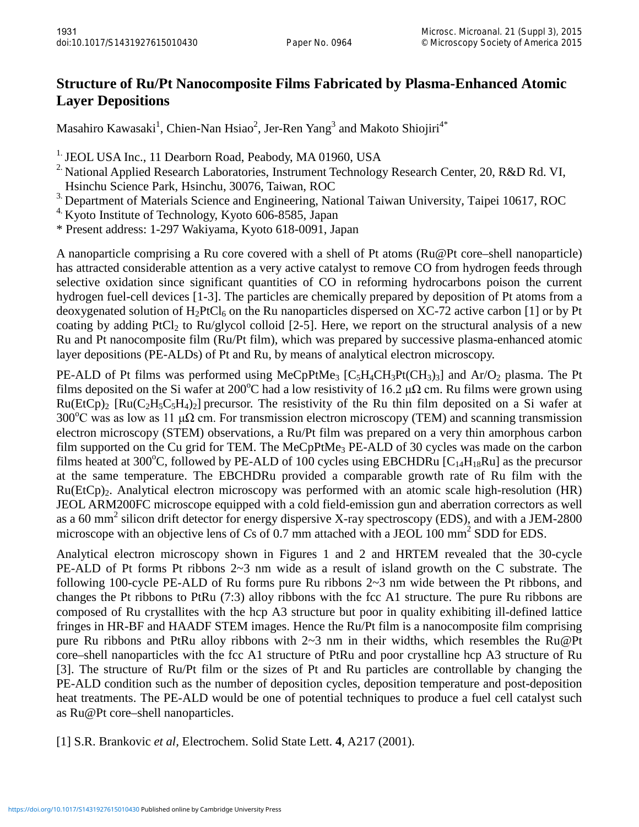## **Structure of Ru/Pt Nanocomposite Films Fabricated by Plasma-Enhanced Atomic Layer Depositions**

Masahiro Kawasaki $^1$ , Chien-Nan Hsiao $^2$ , Jer-Ren Yang $^3$  and Makoto Shiojiri $^{4^{\ast}}$ 

<sup>1.</sup> JEOL USA Inc., 11 Dearborn Road, Peabody, MA 01960, USA

<sup>2</sup> National Applied Research Laboratories, Instrument Technology Research Center, 20, R&D Rd. VI, Hsinchu Science Park, Hsinchu, 30076, Taiwan, ROC

<sup>3.</sup> Department of Materials Science and Engineering, National Taiwan University, Taipei 10617, ROC

 $4.$  Kyoto Institute of Technology, Kyoto 606-8585, Japan

\* Present address: 1-297 Wakiyama, Kyoto 618-0091, Japan

A nanoparticle comprising a Ru core covered with a shell of Pt atoms (Ru@Pt core–shell nanoparticle) has attracted considerable attention as a very active catalyst to remove CO from hydrogen feeds through selective oxidation since significant quantities of CO in reforming hydrocarbons poison the current hydrogen fuel-cell devices [1-3]. The particles are chemically prepared by deposition of Pt atoms from a deoxygenated solution of  $H_2PtCl_6$  on the Ru nanoparticles dispersed on XC-72 active carbon [1] or by Pt coating by adding PtCl<sub>2</sub> to Ru/glycol colloid [2-5]. Here, we report on the structural analysis of a new Ru and Pt nanocomposite film (Ru/Pt film), which was prepared by successive plasma-enhanced atomic layer depositions (PE-ALDs) of Pt and Ru, by means of analytical electron microscopy.

PE-ALD of Pt films was performed using MeCpPtMe<sub>3</sub> [C<sub>5</sub>H<sub>4</sub>CH<sub>3</sub>Pt(CH<sub>3</sub>)<sub>3</sub>] and Ar/O<sub>2</sub> plasma. The Pt films deposited on the Si wafer at 200°C had a low resistivity of 16.2  $\mu\Omega$  cm. Ru films were grown using  $Ru(EtCp)$ <sub>2</sub> [Ru(C<sub>2</sub>H<sub>5</sub>C<sub>5</sub>H<sub>4</sub>)<sub>2</sub>] precursor. The resistivity of the Ru thin film deposited on a Si wafer at 300°C was as low as 11  $\mu\Omega$  cm. For transmission electron microscopy (TEM) and scanning transmission electron microscopy (STEM) observations, a Ru/Pt film was prepared on a very thin amorphous carbon film supported on the Cu grid for TEM. The MeCpPtMe<sub>3</sub> PE-ALD of 30 cycles was made on the carbon films heated at 300°C, followed by PE-ALD of 100 cycles using EBCHDRu  $[C_{14}H_{18}Ru]$  as the precursor at the same temperature. The EBCHDRu provided a comparable growth rate of Ru film with the  $Ru(EtCp)<sub>2</sub>$ . Analytical electron microscopy was performed with an atomic scale high-resolution (HR) JEOL ARM200FC microscope equipped with a cold field-emission gun and aberration correctors as well as a 60 mm<sup>2</sup> silicon drift detector for energy dispersive X-ray spectroscopy (EDS), and with a JEM-2800 microscope with an objective lens of *Cs* of 0.7 mm attached with a JEOL 100 mm<sup>2</sup> SDD for EDS.

Analytical electron microscopy shown in Figures 1 and 2 and HRTEM revealed that the 30-cycle PE-ALD of Pt forms Pt ribbons 2~3 nm wide as a result of island growth on the C substrate. The following 100-cycle PE-ALD of Ru forms pure Ru ribbons 2~3 nm wide between the Pt ribbons, and changes the Pt ribbons to PtRu (7:3) alloy ribbons with the fcc A1 structure. The pure Ru ribbons are composed of Ru crystallites with the hcp A3 structure but poor in quality exhibiting ill-defined lattice fringes in HR-BF and HAADF STEM images. Hence the Ru/Pt film is a nanocomposite film comprising pure Ru ribbons and PtRu alloy ribbons with 2~3 nm in their widths, which resembles the Ru@Pt core–shell nanoparticles with the fcc A1 structure of PtRu and poor crystalline hcp A3 structure of Ru [3]. The structure of Ru/Pt film or the sizes of Pt and Ru particles are controllable by changing the PE-ALD condition such as the number of deposition cycles, deposition temperature and post-deposition heat treatments. The PE-ALD would be one of potential techniques to produce a fuel cell catalyst such as Ru@Pt core–shell nanoparticles.

[1] S.R. Brankovic *et al,* Electrochem. Solid State Lett. **4**, A217 (2001).